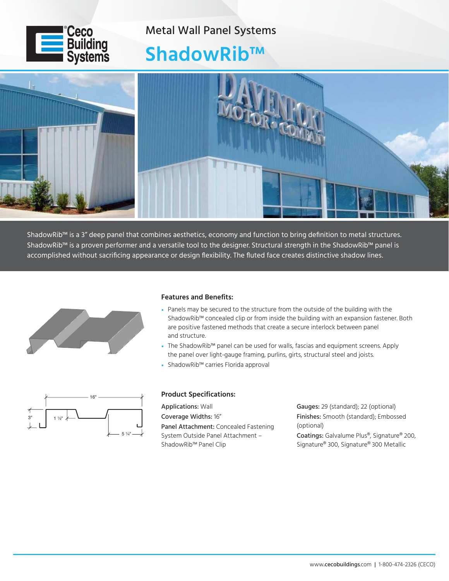

Metal Wall Panel Systems

## **ShadowRib™**



ShadowRib™ is a 3" deep panel that combines aesthetics, economy and function to bring definition to metal structures. ShadowRib™ is a proven performer and a versatile tool to the designer. Structural strength in the ShadowRib™ panel is accomplished without sacrificing appearance or design flexibility. The fluted face creates distinctive shadow lines.



## **Features and Benefits:**

- Panels may be secured to the structure from the outside of the building with the ShadowRib™ concealed clip or from inside the building with an expansion fastener. Both are positive fastened methods that create a secure interlock between panel and structure.
- The ShadowRib™ panel can be used for walls, fascias and equipment screens. Apply the panel over light-gauge framing, purlins, girts, structural steel and joists.
- ShadowRib™ carries Florida approval



## **Product Specifications:**

Applications: Wall Coverage Widths: 16" Panel Attachment: Concealed Fastening System Outside Panel Attachment – ShadowRib™ Panel Clip

Gauges: 29 (standard); 22 (optional) Finishes: Smooth (standard); Embossed (optional) Coatings: Galvalume Plus®, Signature® 200, Signature® 300, Signature® 300 Metallic